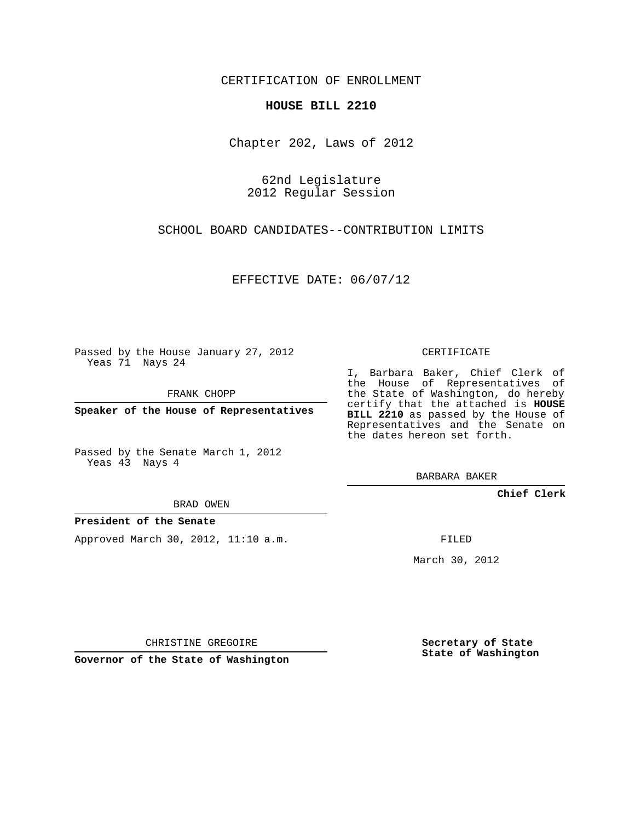CERTIFICATION OF ENROLLMENT

### **HOUSE BILL 2210**

Chapter 202, Laws of 2012

62nd Legislature 2012 Regular Session

SCHOOL BOARD CANDIDATES--CONTRIBUTION LIMITS

EFFECTIVE DATE: 06/07/12

Passed by the House January 27, 2012 Yeas 71 Nays 24

FRANK CHOPP

**Speaker of the House of Representatives**

Passed by the Senate March 1, 2012 Yeas 43 Nays 4

BRAD OWEN

### **President of the Senate**

Approved March 30, 2012, 11:10 a.m.

CERTIFICATE

I, Barbara Baker, Chief Clerk of the House of Representatives of the State of Washington, do hereby certify that the attached is **HOUSE BILL 2210** as passed by the House of Representatives and the Senate on the dates hereon set forth.

BARBARA BAKER

**Chief Clerk**

FILED

March 30, 2012

**Secretary of State State of Washington**

CHRISTINE GREGOIRE

**Governor of the State of Washington**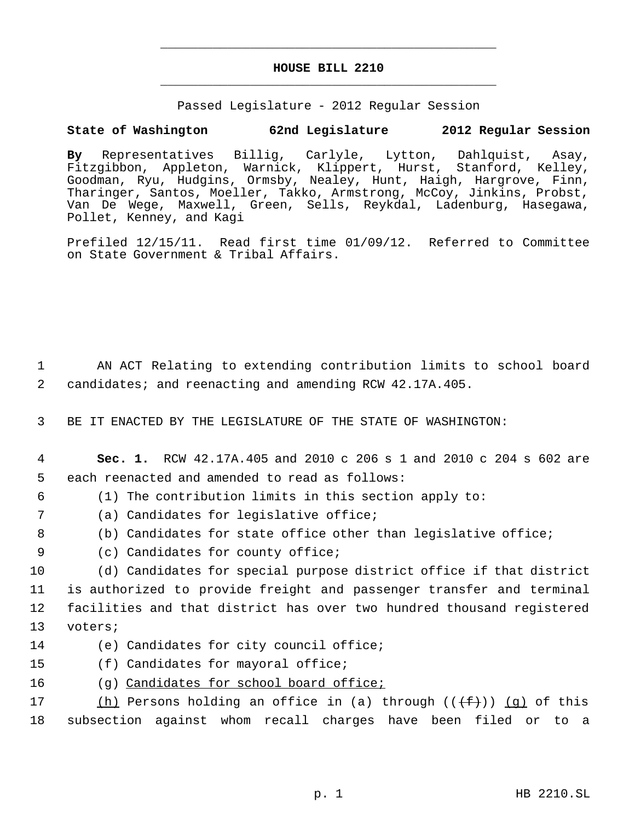# **HOUSE BILL 2210** \_\_\_\_\_\_\_\_\_\_\_\_\_\_\_\_\_\_\_\_\_\_\_\_\_\_\_\_\_\_\_\_\_\_\_\_\_\_\_\_\_\_\_\_\_

\_\_\_\_\_\_\_\_\_\_\_\_\_\_\_\_\_\_\_\_\_\_\_\_\_\_\_\_\_\_\_\_\_\_\_\_\_\_\_\_\_\_\_\_\_

Passed Legislature - 2012 Regular Session

## **State of Washington 62nd Legislature 2012 Regular Session**

**By** Representatives Billig, Carlyle, Lytton, Dahlquist, Asay, Fitzgibbon, Appleton, Warnick, Klippert, Hurst, Stanford, Kelley, Goodman, Ryu, Hudgins, Ormsby, Nealey, Hunt, Haigh, Hargrove, Finn, Tharinger, Santos, Moeller, Takko, Armstrong, McCoy, Jinkins, Probst, Van De Wege, Maxwell, Green, Sells, Reykdal, Ladenburg, Hasegawa, Pollet, Kenney, and Kagi

Prefiled 12/15/11. Read first time 01/09/12. Referred to Committee on State Government & Tribal Affairs.

 1 AN ACT Relating to extending contribution limits to school board 2 candidates; and reenacting and amending RCW 42.17A.405.

3 BE IT ENACTED BY THE LEGISLATURE OF THE STATE OF WASHINGTON:

- 4 **Sec. 1.** RCW 42.17A.405 and 2010 c 206 s 1 and 2010 c 204 s 602 are 5 each reenacted and amended to read as follows:
- 
- 6 (1) The contribution limits in this section apply to:
- 7 (a) Candidates for legislative office;
- 8 (b) Candidates for state office other than legislative office;
- 9 (c) Candidates for county office;

 (d) Candidates for special purpose district office if that district is authorized to provide freight and passenger transfer and terminal facilities and that district has over two hundred thousand registered 13 voters;

- 14 (e) Candidates for city council office;
- 15 (f) Candidates for mayoral office;
- 16 (g) Candidates for school board office;

17  $(h)$  Persons holding an office in (a) through  $((f+))$  (g) of this 18 subsection against whom recall charges have been filed or to a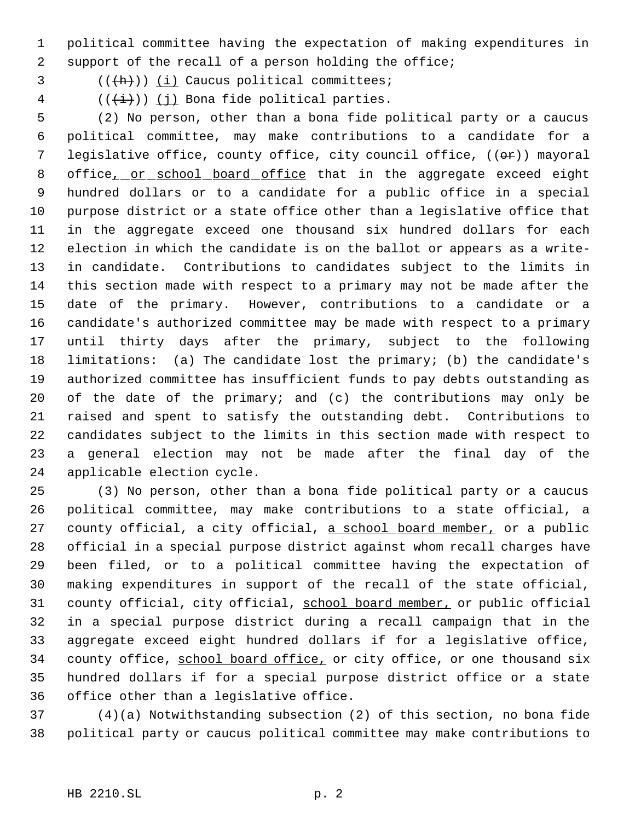political committee having the expectation of making expenditures in support of the recall of a person holding the office;

 $((+h))$  (i) Caucus political committees;

 $((\overleftrightarrow{t}))$   $(i)$  Bona fide political parties.

 (2) No person, other than a bona fide political party or a caucus political committee, may make contributions to a candidate for a 7 legislative office, county office, city council office, ((or)) mayoral 8 office<sub>L</sub> or school board office that in the aggregate exceed eight hundred dollars or to a candidate for a public office in a special purpose district or a state office other than a legislative office that in the aggregate exceed one thousand six hundred dollars for each election in which the candidate is on the ballot or appears as a write- in candidate. Contributions to candidates subject to the limits in this section made with respect to a primary may not be made after the date of the primary. However, contributions to a candidate or a candidate's authorized committee may be made with respect to a primary until thirty days after the primary, subject to the following limitations: (a) The candidate lost the primary; (b) the candidate's authorized committee has insufficient funds to pay debts outstanding as of the date of the primary; and (c) the contributions may only be raised and spent to satisfy the outstanding debt. Contributions to candidates subject to the limits in this section made with respect to a general election may not be made after the final day of the applicable election cycle.

 (3) No person, other than a bona fide political party or a caucus political committee, may make contributions to a state official, a 27 county official, a city official, a school board member, or a public official in a special purpose district against whom recall charges have been filed, or to a political committee having the expectation of making expenditures in support of the recall of the state official, 31 county official, city official, school board member, or public official in a special purpose district during a recall campaign that in the aggregate exceed eight hundred dollars if for a legislative office, 34 county office, school board office, or city office, or one thousand six hundred dollars if for a special purpose district office or a state office other than a legislative office.

 (4)(a) Notwithstanding subsection (2) of this section, no bona fide political party or caucus political committee may make contributions to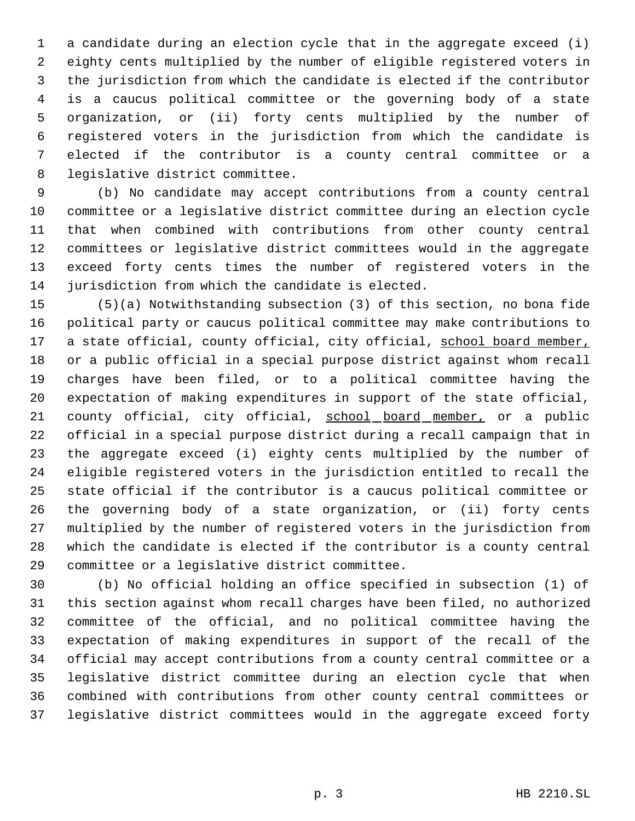a candidate during an election cycle that in the aggregate exceed (i) eighty cents multiplied by the number of eligible registered voters in the jurisdiction from which the candidate is elected if the contributor is a caucus political committee or the governing body of a state organization, or (ii) forty cents multiplied by the number of registered voters in the jurisdiction from which the candidate is elected if the contributor is a county central committee or a legislative district committee.

 (b) No candidate may accept contributions from a county central committee or a legislative district committee during an election cycle that when combined with contributions from other county central committees or legislative district committees would in the aggregate exceed forty cents times the number of registered voters in the jurisdiction from which the candidate is elected.

 (5)(a) Notwithstanding subsection (3) of this section, no bona fide political party or caucus political committee may make contributions to 17 a state official, county official, city official, school board member, or a public official in a special purpose district against whom recall charges have been filed, or to a political committee having the expectation of making expenditures in support of the state official, county official, city official, school board member, or a public official in a special purpose district during a recall campaign that in the aggregate exceed (i) eighty cents multiplied by the number of eligible registered voters in the jurisdiction entitled to recall the state official if the contributor is a caucus political committee or the governing body of a state organization, or (ii) forty cents multiplied by the number of registered voters in the jurisdiction from which the candidate is elected if the contributor is a county central committee or a legislative district committee.

 (b) No official holding an office specified in subsection (1) of this section against whom recall charges have been filed, no authorized committee of the official, and no political committee having the expectation of making expenditures in support of the recall of the official may accept contributions from a county central committee or a legislative district committee during an election cycle that when combined with contributions from other county central committees or legislative district committees would in the aggregate exceed forty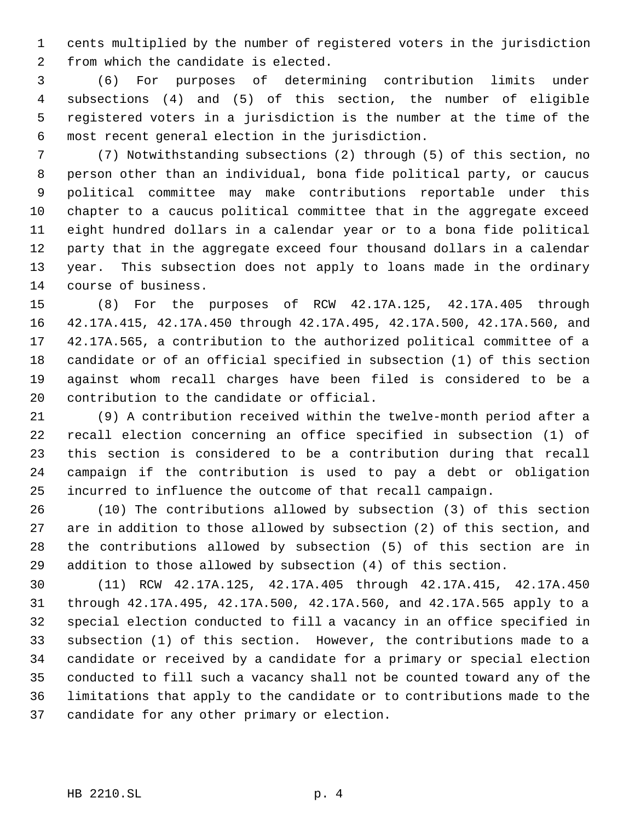cents multiplied by the number of registered voters in the jurisdiction from which the candidate is elected.

 (6) For purposes of determining contribution limits under subsections (4) and (5) of this section, the number of eligible registered voters in a jurisdiction is the number at the time of the most recent general election in the jurisdiction.

 (7) Notwithstanding subsections (2) through (5) of this section, no person other than an individual, bona fide political party, or caucus political committee may make contributions reportable under this chapter to a caucus political committee that in the aggregate exceed eight hundred dollars in a calendar year or to a bona fide political party that in the aggregate exceed four thousand dollars in a calendar year. This subsection does not apply to loans made in the ordinary course of business.

 (8) For the purposes of RCW 42.17A.125, 42.17A.405 through 42.17A.415, 42.17A.450 through 42.17A.495, 42.17A.500, 42.17A.560, and 42.17A.565, a contribution to the authorized political committee of a candidate or of an official specified in subsection (1) of this section against whom recall charges have been filed is considered to be a contribution to the candidate or official.

 (9) A contribution received within the twelve-month period after a recall election concerning an office specified in subsection (1) of this section is considered to be a contribution during that recall campaign if the contribution is used to pay a debt or obligation incurred to influence the outcome of that recall campaign.

 (10) The contributions allowed by subsection (3) of this section are in addition to those allowed by subsection (2) of this section, and the contributions allowed by subsection (5) of this section are in addition to those allowed by subsection (4) of this section.

 (11) RCW 42.17A.125, 42.17A.405 through 42.17A.415, 42.17A.450 through 42.17A.495, 42.17A.500, 42.17A.560, and 42.17A.565 apply to a special election conducted to fill a vacancy in an office specified in subsection (1) of this section. However, the contributions made to a candidate or received by a candidate for a primary or special election conducted to fill such a vacancy shall not be counted toward any of the limitations that apply to the candidate or to contributions made to the candidate for any other primary or election.